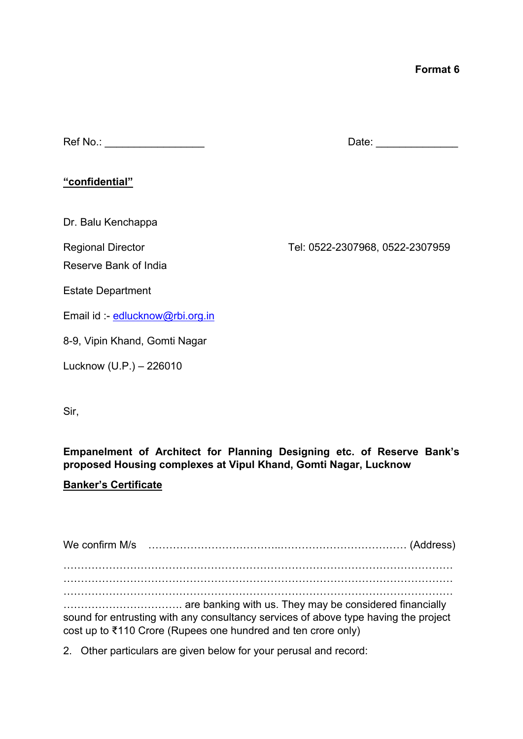## **Format 6**

| Ref No.: ________________        | Date:                           |
|----------------------------------|---------------------------------|
| "confidential"                   |                                 |
| Dr. Balu Kenchappa               |                                 |
| <b>Regional Director</b>         | Tel: 0522-2307968, 0522-2307959 |
| Reserve Bank of India            |                                 |
| <b>Estate Department</b>         |                                 |
| Email id :- edlucknow@rbi.org.in |                                 |
| 8-9, Vipin Khand, Gomti Nagar    |                                 |
| Lucknow (U.P.) - 226010          |                                 |

Sir,

**Empanelment of Architect for Planning Designing etc. of Reserve Bank's proposed Housing complexes at Vipul Khand, Gomti Nagar, Lucknow**

## **Banker's Certificate**

We confirm M/s ………………………………..……………………………… (Address) ………………………………………………………………………………………………… ………………………………………………………………………………………………… ………………………………………………………………………………………………… ……………………………. are banking with us. They may be considered financially sound for entrusting with any consultancy services of above type having the project cost up to ₹110 Crore (Rupees one hundred and ten crore only)

2. Other particulars are given below for your perusal and record: